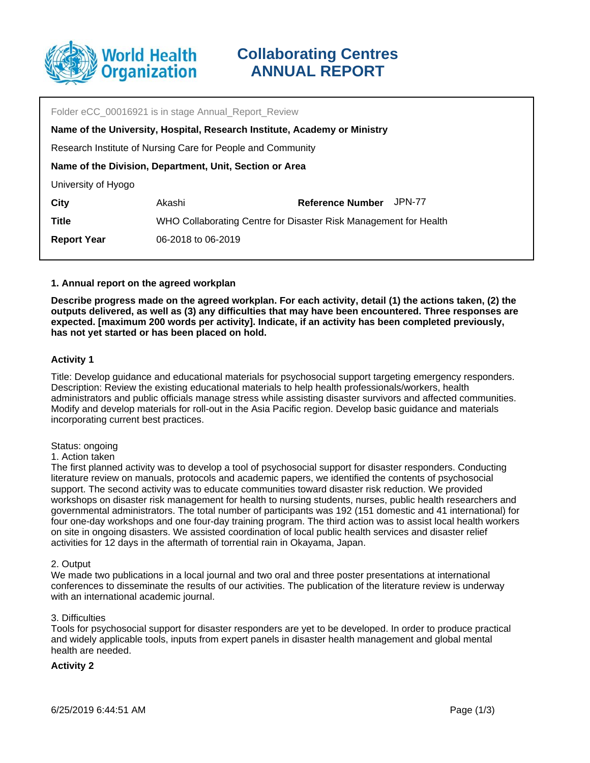

| Folder eCC 00016921 is in stage Annual Report Review                      |                                                                  |                         |        |  |  |  |
|---------------------------------------------------------------------------|------------------------------------------------------------------|-------------------------|--------|--|--|--|
| Name of the University, Hospital, Research Institute, Academy or Ministry |                                                                  |                         |        |  |  |  |
| Research Institute of Nursing Care for People and Community               |                                                                  |                         |        |  |  |  |
| Name of the Division, Department, Unit, Section or Area                   |                                                                  |                         |        |  |  |  |
| University of Hyogo                                                       |                                                                  |                         |        |  |  |  |
| <b>City</b>                                                               | Akashi                                                           | <b>Reference Number</b> | JPN-77 |  |  |  |
| <b>Title</b>                                                              | WHO Collaborating Centre for Disaster Risk Management for Health |                         |        |  |  |  |
| <b>Report Year</b>                                                        | 06-2018 to 06-2019                                               |                         |        |  |  |  |
|                                                                           |                                                                  |                         |        |  |  |  |

## **1. Annual report on the agreed workplan**

**Describe progress made on the agreed workplan. For each activity, detail (1) the actions taken, (2) the outputs delivered, as well as (3) any difficulties that may have been encountered. Three responses are expected. [maximum 200 words per activity]. Indicate, if an activity has been completed previously, has not yet started or has been placed on hold.**

## **Activity 1**

Title: Develop guidance and educational materials for psychosocial support targeting emergency responders. Description: Review the existing educational materials to help health professionals/workers, health administrators and public officials manage stress while assisting disaster survivors and affected communities. Modify and develop materials for roll-out in the Asia Pacific region. Develop basic guidance and materials incorporating current best practices.

## Status: ongoing

## 1. Action taken

The first planned activity was to develop a tool of psychosocial support for disaster responders. Conducting literature review on manuals, protocols and academic papers, we identified the contents of psychosocial support. The second activity was to educate communities toward disaster risk reduction. We provided workshops on disaster risk management for health to nursing students, nurses, public health researchers and governmental administrators. The total number of participants was 192 (151 domestic and 41 international) for four one-day workshops and one four-day training program. The third action was to assist local health workers on site in ongoing disasters. We assisted coordination of local public health services and disaster relief activities for 12 days in the aftermath of torrential rain in Okayama, Japan.

## 2. Output

We made two publications in a local journal and two oral and three poster presentations at international conferences to disseminate the results of our activities. The publication of the literature review is underway with an international academic journal.

## 3. Difficulties

Tools for psychosocial support for disaster responders are yet to be developed. In order to produce practical and widely applicable tools, inputs from expert panels in disaster health management and global mental health are needed.

## **Activity 2**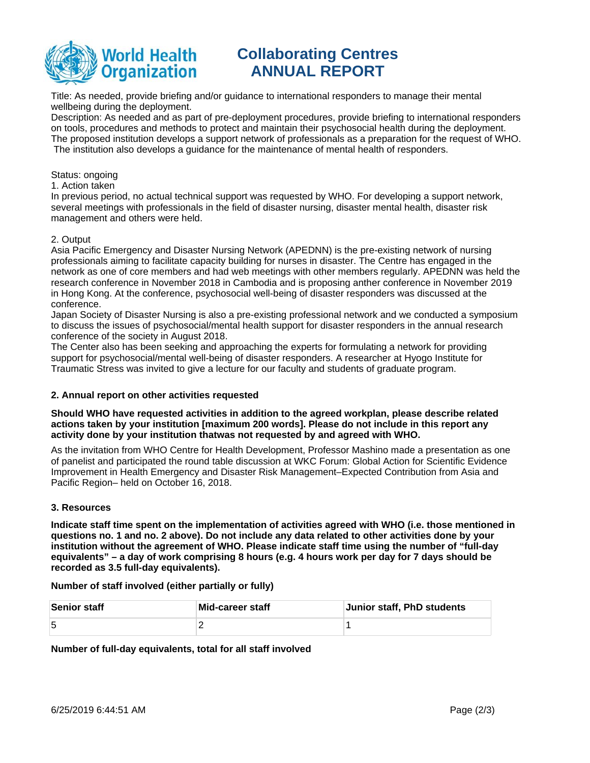

## **Collaborating Centres ANNUAL REPORT**

Title: As needed, provide briefing and/or guidance to international responders to manage their mental wellbeing during the deployment.

Description: As needed and as part of pre-deployment procedures, provide briefing to international responders on tools, procedures and methods to protect and maintain their psychosocial health during the deployment. The proposed institution develops a support network of professionals as a preparation for the request of WHO. The institution also develops a guidance for the maintenance of mental health of responders.

#### Status: ongoing

1. Action taken

In previous period, no actual technical support was requested by WHO. For developing a support network, several meetings with professionals in the field of disaster nursing, disaster mental health, disaster risk management and others were held.

## 2. Output

Asia Pacific Emergency and Disaster Nursing Network (APEDNN) is the pre-existing network of nursing professionals aiming to facilitate capacity building for nurses in disaster. The Centre has engaged in the network as one of core members and had web meetings with other members regularly. APEDNN was held the research conference in November 2018 in Cambodia and is proposing anther conference in November 2019 in Hong Kong. At the conference, psychosocial well-being of disaster responders was discussed at the conference.

Japan Society of Disaster Nursing is also a pre-existing professional network and we conducted a symposium to discuss the issues of psychosocial/mental health support for disaster responders in the annual research conference of the society in August 2018.

The Center also has been seeking and approaching the experts for formulating a network for providing support for psychosocial/mental well-being of disaster responders. A researcher at Hyogo Institute for Traumatic Stress was invited to give a lecture for our faculty and students of graduate program.

## **2. Annual report on other activities requested**

**Should WHO have requested activities in addition to the agreed workplan, please describe related actions taken by your institution [maximum 200 words]. Please do not include in this report any activity done by your institution thatwas not requested by and agreed with WHO.**

As the invitation from WHO Centre for Health Development, Professor Mashino made a presentation as one of panelist and participated the round table discussion at WKC Forum: Global Action for Scientific Evidence Improvement in Health Emergency and Disaster Risk Management–Expected Contribution from Asia and Pacific Region– held on October 16, 2018.

## **3. Resources**

**Indicate staff time spent on the implementation of activities agreed with WHO (i.e. those mentioned in questions no. 1 and no. 2 above). Do not include any data related to other activities done by your institution without the agreement of WHO. Please indicate staff time using the number of "full-day equivalents" – a day of work comprising 8 hours (e.g. 4 hours work per day for 7 days should be recorded as 3.5 full-day equivalents).**

**Number of staff involved (either partially or fully)**

| <b>Senior staff</b> | Mid-career staff | Junior staff, PhD students |
|---------------------|------------------|----------------------------|
| 5                   |                  |                            |

## **Number of full-day equivalents, total for all staff involved**